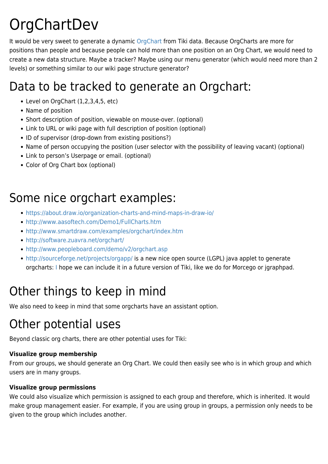# OrgChartDev

It would be very sweet to generate a dynamic [OrgChart](http://en.wikipedia.org/wiki/Organizational_chart) from Tiki data. Because OrgCharts are more for positions than people and because people can hold more than one position on an Org Chart, we would need to create a new data structure. Maybe a tracker? Maybe using our menu generator (which would need more than 2 levels) or something similar to our wiki page structure generator?

### Data to be tracked to generate an Orgchart:

- Level on OrgChart (1,2,3,4,5, etc)
- Name of position
- Short description of position, viewable on mouse-over. (optional)
- Link to URL or wiki page with full description of position (optional)
- ID of supervisor (drop-down from existing positions?)
- Name of person occupying the position (user selector with the possibility of leaving vacant) (optional)
- Link to person's Userpage or email. (optional)
- Color of Org Chart box (optional)

### Some nice orgchart examples:

- <https://about.draw.io/organization-charts-and-mind-maps-in-draw-io/>
- <http://www.aasoftech.com/Demo1/FullCharts.htm>
- <http://www.smartdraw.com/examples/orgchart/index.htm>
- <http://software.zuavra.net/orgchart/>
- <http://www.peopleboard.com/demo/v2/orgchart.asp>
- <http://sourceforge.net/projects/orgapp/>is a new nice open source (LGPL) java applet to generate orgcharts: [I](https://tiki.org/UserPagemarclaporte) hope we can include it in a future version of Tiki, like we do for Morcego or jgraphpad.

## Other things to keep in mind

We also need to keep in mind that some orgcharts have an assistant option.

### Other potential uses

Beyond classic org charts, there are other potential uses for Tiki:

#### **Visualize group membership**

From our groups, we should generate an Org Chart. We could then easily see who is in which group and which users are in many groups.

### **Visualize group permissions**

We could also visualize which permission is assigned to each group and therefore, which is inherited. It would make group management easier. For example, if you are using group in groups, a permission only needs to be given to the group which includes another.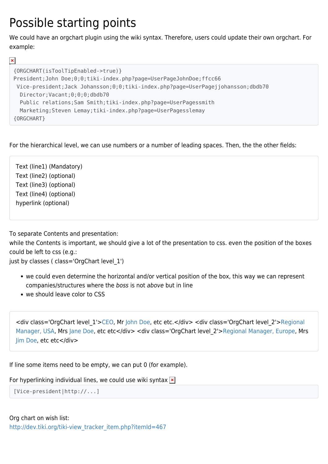### Possible starting points

We could have an orgchart plugin using the wiki syntax. Therefore, users could update their own orgchart. For example:

#### $\pmb{\times}$

```
{ORGCHART(isToolTipEnabled->true)}
President;John Doe;0;0;tiki-index.php?page=UserPageJohnDoe;ffcc66
 Vice-president;Jack Johansson;0;0;tiki-index.php?page=UserPagejjohansson;dbdb70
  Director;Vacant;0;0;0;dbdb70
  Public relations;Sam Smith;tiki-index.php?page=UserPagessmith
  Marketing;Steven Lemay;tiki-index.php?page=UserPagesslemay
{ORGCHART}
```
For the hierarchical level, we can use numbers or a number of leading spaces. Then, the the other fields:

Text (line1) (Mandatory) Text (line2) (optional) Text (line3) (optional) Text (line4) (optional) hyperlink (optional)

To separate Contents and presentation:

while the Contents is important, we should give a lot of the presentation to css. even the position of the boxes could be left to css (e.g.:

just by classes ( class='OrgChart level 1')

- we could even determine the horizontal and/or vertical position of the box, this way we can represent companies/structures where the boss is not above but in line
- we should leave color to CSS

<div class='OrgChart level 1'[>CEO,](https://tiki.org/OrgChartDev) Mr [John Doe](https://tiki.org/OrgChartDev), etc etc.</div> <div class='OrgChart level 2'>[Regional](https://tiki.org/OrgChartDev) [Manager, USA,](https://tiki.org/OrgChartDev) Mrs [Jane Doe](https://tiki.org/OrgChartDev), etc etc</div> <div class='OrgChart level 2'>[Regional Manager, Europe,](https://tiki.org/OrgChartDev) Mrs [Jim Doe](https://tiki.org/OrgChartDev), etc etc</div>

If line some items need to be empty, we can put 0 (for example).

For hyperlinking individual lines, we could use wiki syntax  $\mathbf{x}$ 

[Vice-president|http://...]

#### Org chart on wish list: [http://dev.tiki.org/tiki-view\\_tracker\\_item.php?itemId=467](http://dev.tiki.org/tiki-view_tracker_item.php?itemId=467)